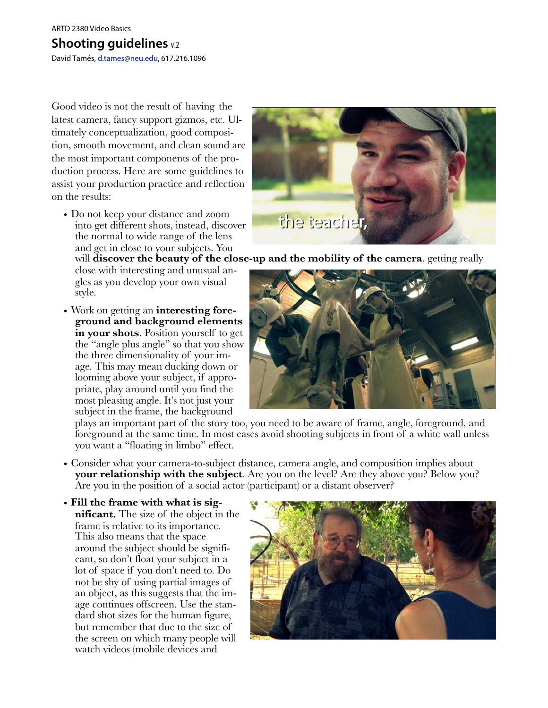#### ARTD 2380 Video Basics

# **Shooting guidelines** v.2

David Tamés, [d.tames@neu.edu,](mailto:d.tames@neu.edu?subject=Shooting%20Guidelines%20Doc) 617.216.1096

Good video is not the result of having the latest camera, fancy support gizmos, etc. Ultimately conceptualization, good composition, smooth movement, and clean sound are the most important components of the production process. Here are some guidelines to assist your production practice and reflection on the results:

• Do not keep your distance and zoom into get different shots, instead, discover the normal to wide range of the lens and get in close to your subjects. You

close with interesting and unusual angles as you develop your own visual style.

• Work on getting an **interesting foreground and background elements in your shots**. Position yourself to get the "angle plus angle" so that you show the three dimensionality of your image. This may mean ducking down or looming above your subject, if appropriate, play around until you find the most pleasing angle. It's not just your subject in the frame, the background



will **discover the beauty of the close-up and the mobility of the camera**, getting really



plays an important part of the story too, you need to be aware of frame, angle, foreground, and foreground at the same time. In most cases avoid shooting subjects in front of a white wall unless you want a "floating in limbo" effect.

- Consider what your camera-to-subject distance, camera angle, and composition implies about **your relationship with the subject**. Are you on the level? Are they above you? Below you? Are you in the position of a social actor (participant) or a distant observer?
- **Fill the frame with what is significant.** The size of the object in the frame is relative to its importance. This also means that the space around the subject should be significant, so don't float your subject in a lot of space if you don't need to. Do not be shy of using partial images of an object, as this suggests that the image continues offscreen. Use the standard shot sizes for the human figure, but remember that due to the size of the screen on which many people will watch videos (mobile devices and

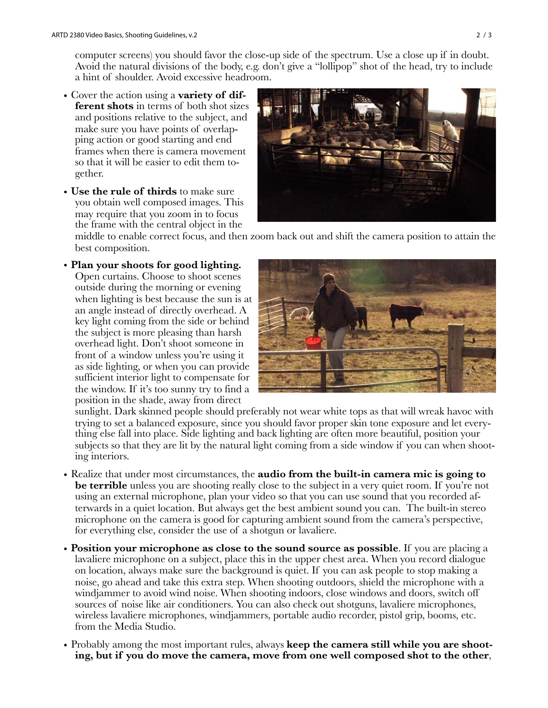computer screens) you should favor the close-up side of the spectrum. Use a close up if in doubt. Avoid the natural divisions of the body, e.g. don't give a "lollipop" shot of the head, try to include a hint of shoulder. Avoid excessive headroom.

- Cover the action using a **variety of different shots** in terms of both shot sizes and positions relative to the subject, and make sure you have points of overlapping action or good starting and end frames when there is camera movement so that it will be easier to edit them together.
- **Use the rule of thirds** to make sure you obtain well composed images. This may require that you zoom in to focus the frame with the central object in the



middle to enable correct focus, and then zoom back out and shift the camera position to attain the best composition.

• **Plan your shoots for good lighting.** Open curtains. Choose to shoot scenes outside during the morning or evening when lighting is best because the sun is at an angle instead of directly overhead. A key light coming from the side or behind the subject is more pleasing than harsh overhead light. Don't shoot someone in front of a window unless you're using it as side lighting, or when you can provide sufficient interior light to compensate for the window. If it's too sunny try to find a position in the shade, away from direct



sunlight. Dark skinned people should preferably not wear white tops as that will wreak havoc with trying to set a balanced exposure, since you should favor proper skin tone exposure and let everything else fall into place. Side lighting and back lighting are often more beautiful, position your subjects so that they are lit by the natural light coming from a side window if you can when shooting interiors.

- Realize that under most circumstances, the **audio from the built-in camera mic is going to be terrible** unless you are shooting really close to the subject in a very quiet room. If you're not using an external microphone, plan your video so that you can use sound that you recorded afterwards in a quiet location. But always get the best ambient sound you can. The built-in stereo microphone on the camera is good for capturing ambient sound from the camera's perspective, for everything else, consider the use of a shotgun or lavaliere.
- **Position your microphone as close to the sound source as possible**. If you are placing a lavaliere microphone on a subject, place this in the upper chest area. When you record dialogue on location, always make sure the background is quiet. If you can ask people to stop making a noise, go ahead and take this extra step. When shooting outdoors, shield the microphone with a windjammer to avoid wind noise. When shooting indoors, close windows and doors, switch off sources of noise like air conditioners. You can also check out shotguns, lavaliere microphones, wireless lavaliere microphones, windjammers, portable audio recorder, pistol grip, booms, etc. from the Media Studio.
- Probably among the most important rules, always **keep the camera still while you are shooting, but if you do move the camera, move from one well composed shot to the other**,